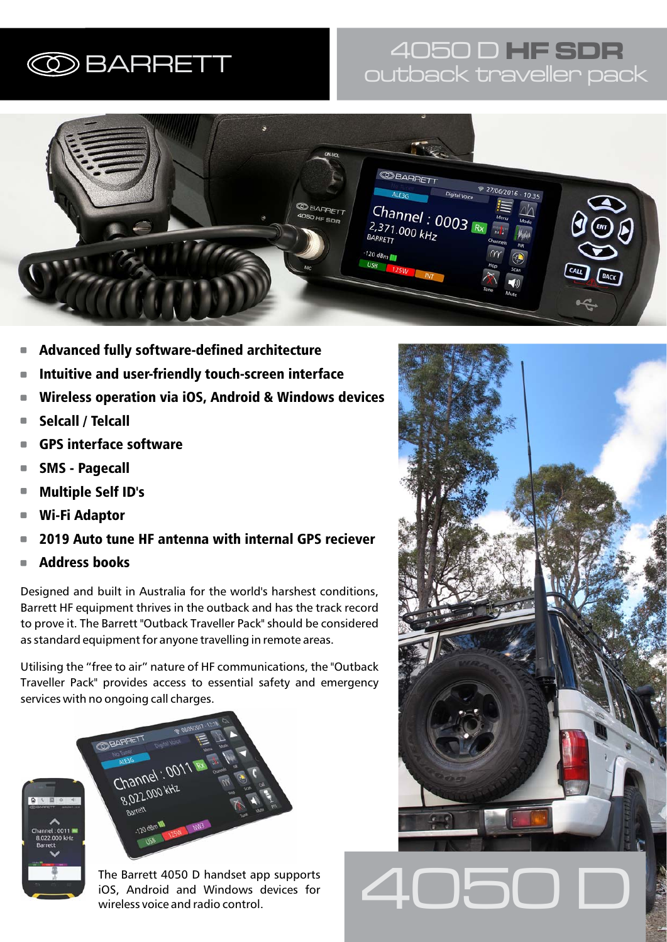# 4050 D **HF SDR** BARRETT outback traveller pack



- Advanced fully software-defined architecture П
- Intuitive and user-friendly touch-screen interface Ė
- Wireless operation via iOS, Android & Windows devices C
- Selcall / Telcall П
- GPS interface software п
- SMS Pagecall п
- Multiple Self ID's п
- Wi-Fi Adaptor  $\overline{\phantom{a}}$
- 2019 Auto tune HF antenna with internal GPS reciever D
- Address books Ĩ.

Designed and built in Australia for the world's harshest conditions, Barrett HF equipment thrives in the outback and has the track record to prove it. The Barrett "Outback Traveller Pack" should be considered as standard equipment for anyone travelling in remote areas.

Utilising the "free to air" nature of HF communications, the "Outback Traveller Pack" provides access to essential safety and emergency services with no ongoing call charges.



The Barrett 4050 D handset app supports<br>iOS, Android and Windows devices for<br>wireless voice and radio control iOS, Android and Windows devices for wireless voice and radio control.

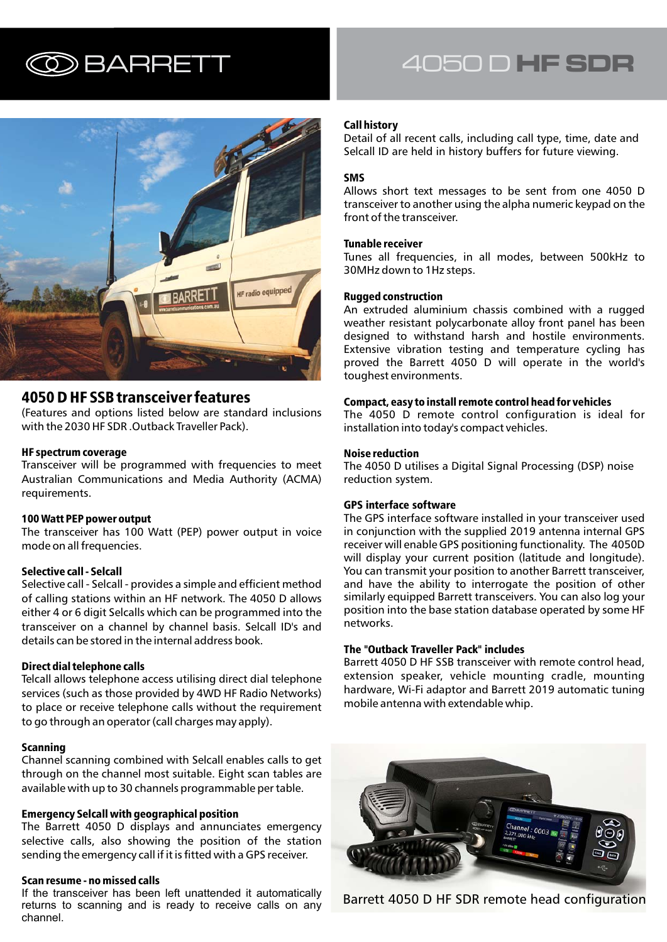

### 4050 D HF SSB transceiver features

(Features and options listed below are standard inclusions with the 2030 HF SDR .Outback Traveller Pack).

#### HF spectrum coverage

Transceiver will be programmed with frequencies to meet Australian Communications and Media Authority (ACMA) requirements.

### 100 Watt PEP power output

The transceiver has 100 Watt (PEP) power output in voice mode on all frequencies.

### Selective call - Selcall

Selective call - Selcall - provides a simple and efficient method of calling stations within an HF network. The 4050 D allows either 4 or 6 digit Selcalls which can be programmed into the transceiver on a channel by channel basis. Selcall ID's and details can be stored in the internal address book.

### Direct dial telephone calls

Telcall allows telephone access utilising direct dial telephone services (such as those provided by 4WD HF Radio Networks) to place or receive telephone calls without the requirement to go through an operator (call charges may apply).

### Scanning

Channel scanning combined with Selcall enables calls to get through on the channel most suitable. Eight scan tables are available with up to 30 channels programmable per table.

### Emergency Selcall with geographical position

The Barrett 4050 D displays and annunciates emergency selective calls, also showing the position of the station sending the emergency call if it is fitted with a GPS receiver.

#### Scan resume - no missed calls

If the transceiver has been left unattended it automatically returns to scanning and is ready to receive calls on any channel.

# BARRETT 4050 D **HF SDR**

#### Call history

Detail of all recent calls, including call type, time, date and Selcall ID are held in history buffers for future viewing.

#### SMS

Allows short text messages to be sent from one 4050 D transceiver to another using the alpha numeric keypad on the front of the transceiver.

#### Tunable receiver

Tunes all frequencies, in all modes, between 500kHz to 30MHz down to 1Hz steps.

#### Rugged construction

An extruded aluminium chassis combined with a rugged weather resistant polycarbonate alloy front panel has been designed to withstand harsh and hostile environments. Extensive vibration testing and temperature cycling has proved the Barrett 4050 D will operate in the world's toughest environments.

#### Compact, easy to install remote control head for vehicles

The 4050 D remote control configuration is ideal for installation into today's compact vehicles.

#### Noise reduction

The 4050 D utilises a Digital Signal Processing (DSP) noise reduction system.

#### GPS interface software

The GPS interface software installed in your transceiver used in conjunction with the supplied 2019 antenna internal GPS receiver will enable GPS positioning functionality. The 4050D will display your current position (latitude and longitude). You can transmit your position to another Barrett transceiver, and have the ability to interrogate the position of other similarly equipped Barrett transceivers. You can also log your position into the base station database operated by some HF networks.

#### The "Outback Traveller Pack" includes

Barrett 4050 D HF SSB transceiver with remote control head, extension speaker, vehicle mounting cradle, mounting hardware, Wi-Fi adaptor and Barrett 2019 automatic tuning mobile antenna with extendable whip.



Barrett 4050 D HF SDR remote head configuration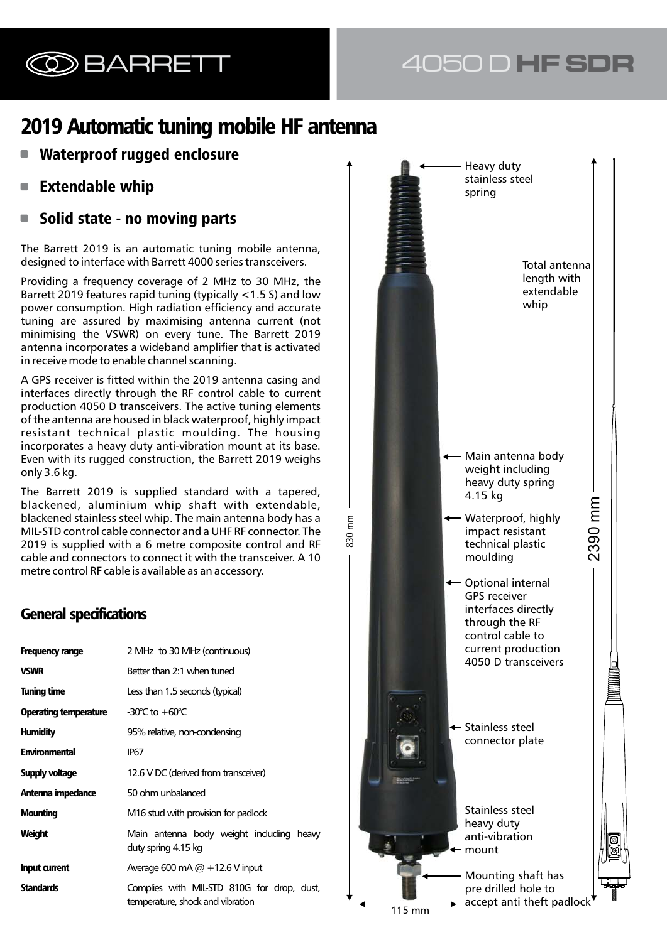# BARRETT 4050 D **HF SDR**

# 2019 Automatic tuning mobile HF antenna

- Waterproof rugged enclosure
- Extendable whip  $\Box$
- Solid state no moving parts

The Barrett 2019 is an automatic tuning mobile antenna, designed to interface with Barrett 4000 series transceivers.

Providing a frequency coverage of 2 MHz to 30 MHz, the Barrett 2019 features rapid tuning (typically <1.5 S) and low power consumption. High radiation efficiency and accurate tuning are assured by maximising antenna current (not minimising the VSWR) on every tune. The Barrett 2019 antenna incorporates a wideband amplifier that is activated in receive mode to enable channel scanning.

A GPS receiver is fitted within the 2019 antenna casing and interfaces directly through the RF control cable to current production 4050 D transceivers. The active tuning elements of the antenna are housed in black waterproof, highly impact resistant technical plastic moulding. The housing incorporates a heavy duty anti-vibration mount at its base. Even with its rugged construction, the Barrett 2019 weighs only 3.6 kg.

The Barrett 2019 is supplied standard with a tapered, blackened, aluminium whip shaft with extendable, blackened stainless steel whip. The main antenna body has a MIL-STD control cable connector and a UHF RF connector. The 2019 is supplied with a 6 metre composite control and RF cable and connectors to connect it with the transceiver. A 10 metre control RF cable is available as an accessory.

## **General specifications**

| Frequency range              | 2 MHz to 30 MHz (continuous)                                                   |
|------------------------------|--------------------------------------------------------------------------------|
| <b>VSWR</b>                  | Better than 2:1 when tuned                                                     |
| <b>Tuning time</b>           | Less than 1.5 seconds (typical)                                                |
| <b>Operating temperature</b> | -30 $\degree$ C to $+60\degree$ C                                              |
| <b>Humidity</b>              | 95% relative, non-condensing                                                   |
| <b>Environmental</b>         | IP67                                                                           |
| Supply voltage               | 12.6 V DC (derived from transceiver)                                           |
| Antenna impedance            | 50 ohm unbalanced                                                              |
| <b>Mounting</b>              | M16 stud with provision for padlock                                            |
| Weight                       | Main antenna body weight including heavy<br>duty spring 4.15 kg                |
| <b>Input current</b>         | Average 600 mA $@ + 12.6$ V input                                              |
| <b>Standards</b>             | Complies with MIL-STD 810G for drop, dust,<br>temperature, shock and vibration |